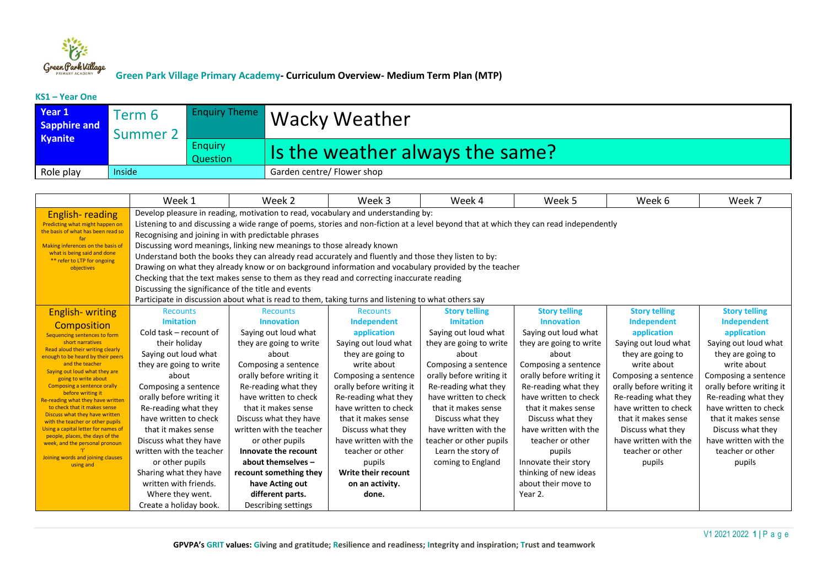

#### **KS1 – Year One**

| Year 1<br><b>Sapphire and</b><br>Kyanite | Term 6<br><b>Summer 2</b> |                            | <b>Enquiry Theme   Wacky Weather</b> |
|------------------------------------------|---------------------------|----------------------------|--------------------------------------|
|                                          |                           | <b>Enquiry</b><br>Question | Is the weather always the same?      |
| Role play                                | Inside                    |                            | Garden centre/ Flower shop           |

|                                                                        | Week 1                                                                                                                                                                                                        | Week 2                                                                                              | Week 3                   | Week 4                   | Week 5                   | Week 6                   | Week 7                   |  |  |
|------------------------------------------------------------------------|---------------------------------------------------------------------------------------------------------------------------------------------------------------------------------------------------------------|-----------------------------------------------------------------------------------------------------|--------------------------|--------------------------|--------------------------|--------------------------|--------------------------|--|--|
| <b>English-reading</b>                                                 |                                                                                                                                                                                                               | Develop pleasure in reading, motivation to read, vocabulary and understanding by:                   |                          |                          |                          |                          |                          |  |  |
| Predicting what might happen on                                        | Listening to and discussing a wide range of poems, stories and non-fiction at a level beyond that at which they can read independently                                                                        |                                                                                                     |                          |                          |                          |                          |                          |  |  |
| the basis of what has been read so                                     |                                                                                                                                                                                                               | Recognising and joining in with predictable phrases                                                 |                          |                          |                          |                          |                          |  |  |
| Making inferences on the basis of                                      | Discussing word meanings, linking new meanings to those already known<br>what is being said and done                                                                                                          |                                                                                                     |                          |                          |                          |                          |                          |  |  |
| ** refer to LTP for ongoing                                            | Understand both the books they can already read accurately and fluently and those they listen to by:<br>Drawing on what they already know or on background information and vocabulary provided by the teacher |                                                                                                     |                          |                          |                          |                          |                          |  |  |
| objectives                                                             |                                                                                                                                                                                                               |                                                                                                     |                          |                          |                          |                          |                          |  |  |
|                                                                        |                                                                                                                                                                                                               | Checking that the text makes sense to them as they read and correcting inaccurate reading           |                          |                          |                          |                          |                          |  |  |
|                                                                        |                                                                                                                                                                                                               | Discussing the significance of the title and events                                                 |                          |                          |                          |                          |                          |  |  |
|                                                                        |                                                                                                                                                                                                               | Participate in discussion about what is read to them, taking turns and listening to what others say |                          |                          |                          |                          |                          |  |  |
| <b>English-writing</b>                                                 | <b>Recounts</b>                                                                                                                                                                                               | <b>Recounts</b>                                                                                     | <b>Recounts</b>          | <b>Story telling</b>     | <b>Story telling</b>     | <b>Story telling</b>     | <b>Story telling</b>     |  |  |
| Composition                                                            | <b>Imitation</b>                                                                                                                                                                                              | <b>Innovation</b>                                                                                   | Independent              | <b>Imitation</b>         | <b>Innovation</b>        | Independent              | Independent              |  |  |
| Sequencing sentences to form                                           | Cold task – recount of                                                                                                                                                                                        | Saying out loud what                                                                                | application              | Saying out loud what     | Saying out loud what     | application              | application              |  |  |
| short narratives<br>Read aloud their writing clearly                   | their holiday                                                                                                                                                                                                 | they are going to write                                                                             | Saying out loud what     | they are going to write  | they are going to write  | Saying out loud what     | Saying out loud what     |  |  |
| enough to be heard by their peers                                      | Saying out loud what                                                                                                                                                                                          | about                                                                                               | they are going to        | about                    | about                    | they are going to        | they are going to        |  |  |
| and the teacher<br>Saying out loud what they are                       | they are going to write                                                                                                                                                                                       | Composing a sentence                                                                                | write about              | Composing a sentence     | Composing a sentence     | write about              | write about              |  |  |
| going to write about                                                   | about                                                                                                                                                                                                         | orally before writing it                                                                            | Composing a sentence     | orally before writing it | orally before writing it | Composing a sentence     | Composing a sentence     |  |  |
| <b>Composing a sentence orally</b><br>before writing it                | Composing a sentence                                                                                                                                                                                          | Re-reading what they                                                                                | orally before writing it | Re-reading what they     | Re-reading what they     | orally before writing it | orally before writing it |  |  |
| Re-reading what they have written                                      | orally before writing it                                                                                                                                                                                      | have written to check                                                                               | Re-reading what they     | have written to check    | have written to check    | Re-reading what they     | Re-reading what they     |  |  |
| to check that it makes sense<br>Discuss what they have written         | Re-reading what they                                                                                                                                                                                          | that it makes sense                                                                                 | have written to check    | that it makes sense      | that it makes sense      | have written to check    | have written to check    |  |  |
| with the teacher or other pupils                                       | have written to check                                                                                                                                                                                         | Discuss what they have                                                                              | that it makes sense      | Discuss what they        | Discuss what they        | that it makes sense      | that it makes sense      |  |  |
| Using a capital letter for names of<br>people, places, the days of the | that it makes sense                                                                                                                                                                                           | written with the teacher                                                                            | Discuss what they        | have written with the    | have written with the    | Discuss what they        | Discuss what they        |  |  |
| week, and the personal pronoun                                         | Discuss what they have                                                                                                                                                                                        | or other pupils                                                                                     | have written with the    | teacher or other pupils  | teacher or other         | have written with the    | have written with the    |  |  |
| Joining words and joining clauses                                      | written with the teacher                                                                                                                                                                                      | Innovate the recount                                                                                | teacher or other         | Learn the story of       | pupils                   | teacher or other         | teacher or other         |  |  |
| using and                                                              | or other pupils                                                                                                                                                                                               | about themselves -                                                                                  | pupils                   | coming to England        | Innovate their story     | pupils                   | pupils                   |  |  |
|                                                                        | Sharing what they have                                                                                                                                                                                        | recount something they                                                                              | Write their recount      |                          | thinking of new ideas    |                          |                          |  |  |
|                                                                        | written with friends.                                                                                                                                                                                         | have Acting out                                                                                     | on an activity.          |                          | about their move to      |                          |                          |  |  |
|                                                                        | Where they went.                                                                                                                                                                                              | different parts.                                                                                    | done.                    |                          | Year 2.                  |                          |                          |  |  |
|                                                                        | Create a holiday book.                                                                                                                                                                                        | Describing settings                                                                                 |                          |                          |                          |                          |                          |  |  |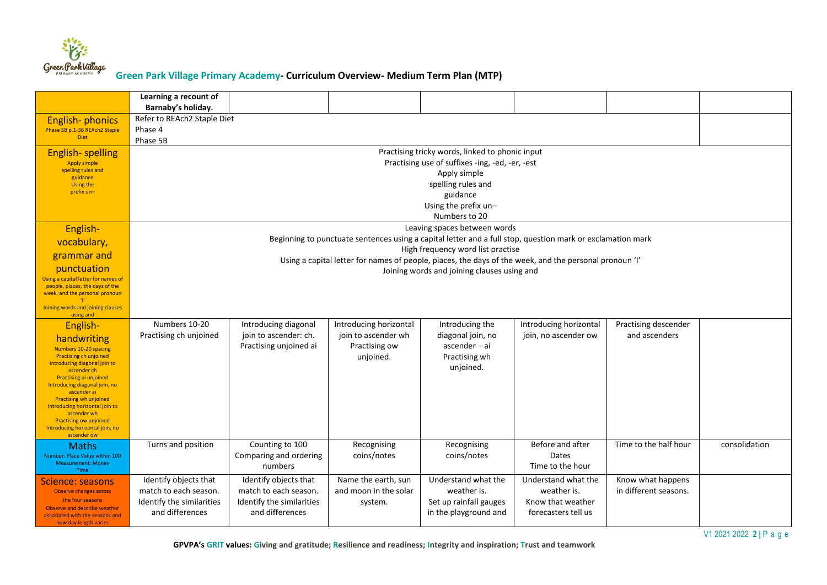

|                                                                   | Learning a recount of<br>Barnaby's holiday.        |                                                                                                        |                        |                                                                                                            |                        |                       |               |  |  |
|-------------------------------------------------------------------|----------------------------------------------------|--------------------------------------------------------------------------------------------------------|------------------------|------------------------------------------------------------------------------------------------------------|------------------------|-----------------------|---------------|--|--|
| English-phonics<br>Phase 5B p.1-36 REAch2 Staple<br><b>Diet</b>   | Refer to REAch2 Staple Diet<br>Phase 4<br>Phase 5B |                                                                                                        |                        |                                                                                                            |                        |                       |               |  |  |
| <b>English-spelling</b>                                           |                                                    |                                                                                                        |                        | Practising tricky words, linked to phonic input                                                            |                        |                       |               |  |  |
| <b>Apply simple</b>                                               |                                                    |                                                                                                        |                        | Practising use of suffixes -ing, -ed, -er, -est                                                            |                        |                       |               |  |  |
| spelling rules and<br>guidance                                    |                                                    |                                                                                                        |                        | Apply simple                                                                                               |                        |                       |               |  |  |
| <b>Using the</b>                                                  |                                                    | spelling rules and                                                                                     |                        |                                                                                                            |                        |                       |               |  |  |
| prefix un-                                                        | guidance                                           |                                                                                                        |                        |                                                                                                            |                        |                       |               |  |  |
|                                                                   |                                                    | Using the prefix un-                                                                                   |                        |                                                                                                            |                        |                       |               |  |  |
|                                                                   |                                                    | Numbers to 20                                                                                          |                        |                                                                                                            |                        |                       |               |  |  |
| English-                                                          |                                                    |                                                                                                        |                        | Leaving spaces between words                                                                               |                        |                       |               |  |  |
| vocabulary,                                                       |                                                    |                                                                                                        |                        | Beginning to punctuate sentences using a capital letter and a full stop, question mark or exclamation mark |                        |                       |               |  |  |
| grammar and                                                       |                                                    |                                                                                                        |                        | High frequency word list practise                                                                          |                        |                       |               |  |  |
| punctuation                                                       |                                                    | Using a capital letter for names of people, places, the days of the week, and the personal pronoun 'I' |                        |                                                                                                            |                        |                       |               |  |  |
| Using a capital letter for names of                               |                                                    | Joining words and joining clauses using and                                                            |                        |                                                                                                            |                        |                       |               |  |  |
| people, places, the days of the<br>week, and the personal pronoun |                                                    |                                                                                                        |                        |                                                                                                            |                        |                       |               |  |  |
| Joining words and joining clauses                                 |                                                    |                                                                                                        |                        |                                                                                                            |                        |                       |               |  |  |
| using and                                                         |                                                    |                                                                                                        |                        |                                                                                                            |                        |                       |               |  |  |
| English-                                                          | Numbers 10-20                                      | Introducing diagonal                                                                                   | Introducing horizontal | Introducing the                                                                                            | Introducing horizontal | Practising descender  |               |  |  |
| handwriting                                                       | Practising ch unjoined                             | join to ascender: ch.                                                                                  | join to ascender wh    | diagonal join, no                                                                                          | join, no ascender ow   | and ascenders         |               |  |  |
| Numbers 10-20 spacing                                             |                                                    | Practising unjoined ai                                                                                 | Practising ow          | $ascender - ai$                                                                                            |                        |                       |               |  |  |
| <b>Practising ch unjoined</b><br>Introducing diagonal join to     |                                                    |                                                                                                        | unjoined.              | Practising wh                                                                                              |                        |                       |               |  |  |
| ascender ch<br>Practising ai unjoined                             |                                                    |                                                                                                        |                        | unjoined.                                                                                                  |                        |                       |               |  |  |
| Introducing diagonal join, no                                     |                                                    |                                                                                                        |                        |                                                                                                            |                        |                       |               |  |  |
| ascender ai<br><b>Practising wh unjoined</b>                      |                                                    |                                                                                                        |                        |                                                                                                            |                        |                       |               |  |  |
| Introducing horizontal join to<br>ascender wh                     |                                                    |                                                                                                        |                        |                                                                                                            |                        |                       |               |  |  |
| <b>Practising ow unjoined</b>                                     |                                                    |                                                                                                        |                        |                                                                                                            |                        |                       |               |  |  |
| Introducing horizontal join, no<br>ascender ow                    |                                                    |                                                                                                        |                        |                                                                                                            |                        |                       |               |  |  |
| <b>Maths</b>                                                      | Turns and position                                 | Counting to 100                                                                                        | Recognising            | Recognising                                                                                                | Before and after       | Time to the half hour | consolidation |  |  |
| Number: Place Value within 100                                    |                                                    | Comparing and ordering                                                                                 | coins/notes            | coins/notes                                                                                                | Dates                  |                       |               |  |  |
| <b>Measurement: Money</b><br><b>Time</b>                          |                                                    | numbers                                                                                                |                        |                                                                                                            | Time to the hour       |                       |               |  |  |
| Science: seasons                                                  | Identify objects that                              | Identify objects that                                                                                  | Name the earth, sun    | Understand what the                                                                                        | Understand what the    | Know what happens     |               |  |  |
| Observe changes across                                            | match to each season.                              | match to each season.                                                                                  | and moon in the solar  | weather is.                                                                                                | weather is.            | in different seasons. |               |  |  |
| the four seasons<br>Observe and describe weather                  | Identify the similarities                          | Identify the similarities                                                                              | system.                | Set up rainfall gauges                                                                                     | Know that weather      |                       |               |  |  |
| associated with the seasons and                                   | and differences                                    | and differences                                                                                        |                        | in the playground and                                                                                      | forecasters tell us    |                       |               |  |  |
| how day length varies                                             |                                                    |                                                                                                        |                        |                                                                                                            |                        |                       |               |  |  |

V1 2021 2022 **2 |** P a g e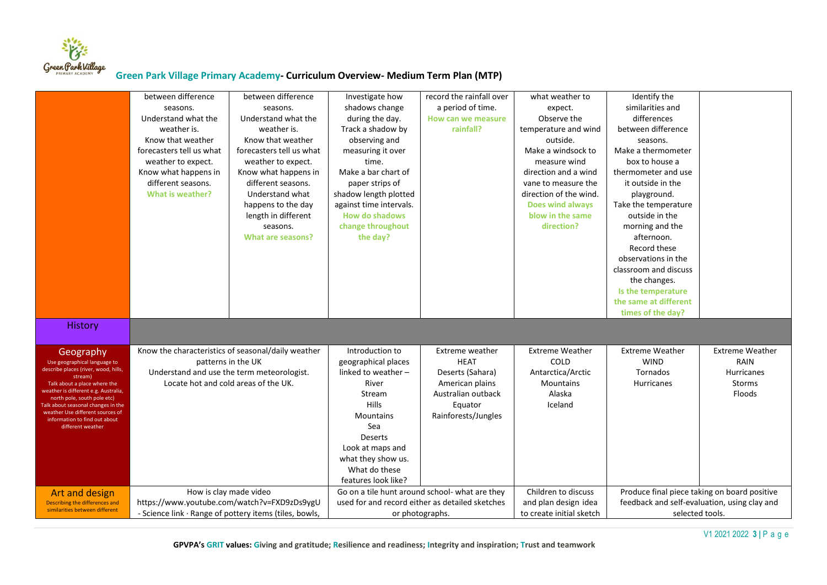

|                                                                                                                                                                                                                                                                                                                                            | between difference<br>seasons.<br>Understand what the<br>weather is.<br>Know that weather<br>forecasters tell us what<br>weather to expect.<br>Know what happens in<br>different seasons.<br><b>What is weather?</b> | between difference<br>seasons.<br>Understand what the<br>weather is.<br>Know that weather<br>forecasters tell us what<br>weather to expect.<br>Know what happens in<br>different seasons.<br>Understand what<br>happens to the day<br>length in different<br>seasons.<br>What are seasons? | Investigate how<br>shadows change<br>during the day.<br>Track a shadow by<br>observing and<br>measuring it over<br>time.<br>Make a bar chart of<br>paper strips of<br>shadow length plotted<br>against time intervals.<br><b>How do shadows</b><br>change throughout<br>the day? | record the rainfall over<br>a period of time.<br>How can we measure<br>rainfall?                                              | what weather to<br>expect.<br>Observe the<br>temperature and wind<br>outside.<br>Make a windsock to<br>measure wind<br>direction and a wind<br>vane to measure the<br>direction of the wind.<br>Does wind always<br>blow in the same<br>direction? | Identify the<br>similarities and<br>differences<br>between difference<br>seasons.<br>Make a thermometer<br>box to house a<br>thermometer and use<br>it outside in the<br>playground.<br>Take the temperature<br>outside in the<br>morning and the<br>afternoon.<br>Record these<br>observations in the<br>classroom and discuss<br>the changes.<br>Is the temperature<br>the same at different<br>times of the day? |                                                                         |
|--------------------------------------------------------------------------------------------------------------------------------------------------------------------------------------------------------------------------------------------------------------------------------------------------------------------------------------------|----------------------------------------------------------------------------------------------------------------------------------------------------------------------------------------------------------------------|--------------------------------------------------------------------------------------------------------------------------------------------------------------------------------------------------------------------------------------------------------------------------------------------|----------------------------------------------------------------------------------------------------------------------------------------------------------------------------------------------------------------------------------------------------------------------------------|-------------------------------------------------------------------------------------------------------------------------------|----------------------------------------------------------------------------------------------------------------------------------------------------------------------------------------------------------------------------------------------------|---------------------------------------------------------------------------------------------------------------------------------------------------------------------------------------------------------------------------------------------------------------------------------------------------------------------------------------------------------------------------------------------------------------------|-------------------------------------------------------------------------|
| <b>History</b>                                                                                                                                                                                                                                                                                                                             |                                                                                                                                                                                                                      |                                                                                                                                                                                                                                                                                            |                                                                                                                                                                                                                                                                                  |                                                                                                                               |                                                                                                                                                                                                                                                    |                                                                                                                                                                                                                                                                                                                                                                                                                     |                                                                         |
| Geography<br>Use geographical language to<br>describe places (river, wood, hills,<br>stream)<br>Talk about a place where the<br>weather is different e.g. Australia,<br>north pole, south pole etc)<br><b>Talk about seasonal changes in the</b><br>weather Use different sources of<br>information to find out about<br>different weather | Know the characteristics of seasonal/daily weather<br>patterns in the UK<br>Understand and use the term meteorologist.<br>Locate hot and cold areas of the UK.                                                       |                                                                                                                                                                                                                                                                                            | Introduction to<br>geographical places<br>linked to weather -<br>River<br>Stream<br><b>Hills</b><br><b>Mountains</b><br>Sea<br>Deserts<br>Look at maps and<br>what they show us.<br>What do these<br>features look like?                                                         | Extreme weather<br><b>HEAT</b><br>Deserts (Sahara)<br>American plains<br>Australian outback<br>Equator<br>Rainforests/Jungles | <b>Extreme Weather</b><br>COLD<br>Antarctica/Arctic<br><b>Mountains</b><br>Alaska<br>Iceland                                                                                                                                                       | <b>Extreme Weather</b><br><b>WIND</b><br>Tornados<br><b>Hurricanes</b>                                                                                                                                                                                                                                                                                                                                              | <b>Extreme Weather</b><br>RAIN<br>Hurricanes<br><b>Storms</b><br>Floods |
| Art and design<br>Describing the differences and<br>similarities between different                                                                                                                                                                                                                                                         | How is clay made video<br>https://www.youtube.com/watch?v=FXD9zDs9ygU<br>- Science link · Range of pottery items (tiles, bowls,                                                                                      |                                                                                                                                                                                                                                                                                            | or photographs.                                                                                                                                                                                                                                                                  | Go on a tile hunt around school- what are they<br>used for and record either as detailed sketches                             | Children to discuss<br>and plan design idea<br>to create initial sketch                                                                                                                                                                            | Produce final piece taking on board positive<br>feedback and self-evaluation, using clay and<br>selected tools.                                                                                                                                                                                                                                                                                                     |                                                                         |

V1 2021 2022 **3 |** P a g e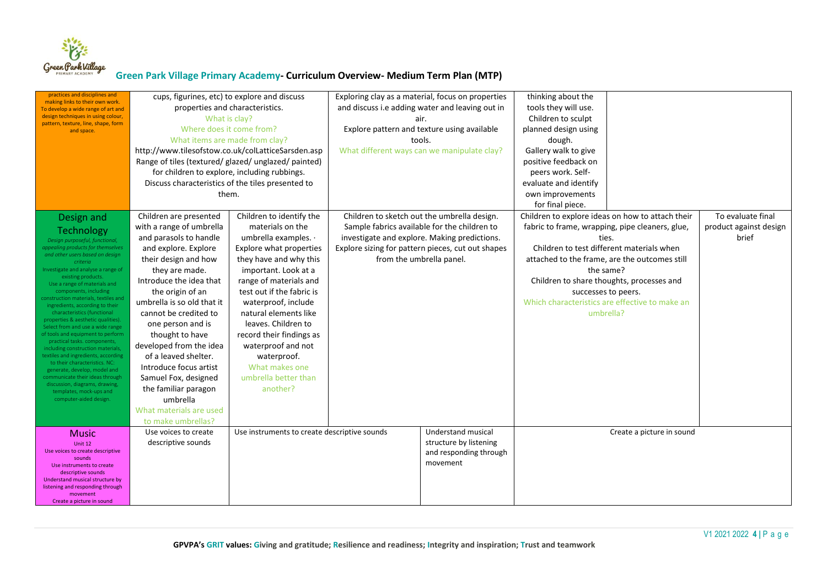

| practices and disciplines and<br>making links to their own work.<br>To develop a wide range of art and<br>design techniques in using colour,<br>pattern, texture, line, shape, form<br>and space.                                                                                                                                                                                                                                                                                                                                                                                                                                                                                                                                                                                                  | cups, figurines, etc) to explore and discuss<br>properties and characteristics.<br>What is clay?<br>Where does it come from?<br>What items are made from clay?<br>http://www.tilesofstow.co.uk/colLatticeSarsden.asp<br>Range of tiles (textured/ glazed/ unglazed/ painted)<br>for children to explore, including rubbings.<br>Discuss characteristics of the tiles presented to<br>them.                                                                                             |                                                                                                                                                                                                                                                                                                                                                                                                        | Exploring clay as a material, focus on properties<br>and discuss i.e adding water and leaving out in<br>air.<br>Explore pattern and texture using available<br>tools.<br>What different ways can we manipulate clay? |                                                                                                                                                                                                                              | thinking about the<br>tools they will use.<br>Children to sculpt<br>planned design using<br>dough.<br>Gallery walk to give<br>positive feedback on<br>peers work. Self-<br>evaluate and identify<br>own improvements<br>for final piece.                                                                                                                   |                           |                                                      |
|----------------------------------------------------------------------------------------------------------------------------------------------------------------------------------------------------------------------------------------------------------------------------------------------------------------------------------------------------------------------------------------------------------------------------------------------------------------------------------------------------------------------------------------------------------------------------------------------------------------------------------------------------------------------------------------------------------------------------------------------------------------------------------------------------|----------------------------------------------------------------------------------------------------------------------------------------------------------------------------------------------------------------------------------------------------------------------------------------------------------------------------------------------------------------------------------------------------------------------------------------------------------------------------------------|--------------------------------------------------------------------------------------------------------------------------------------------------------------------------------------------------------------------------------------------------------------------------------------------------------------------------------------------------------------------------------------------------------|----------------------------------------------------------------------------------------------------------------------------------------------------------------------------------------------------------------------|------------------------------------------------------------------------------------------------------------------------------------------------------------------------------------------------------------------------------|------------------------------------------------------------------------------------------------------------------------------------------------------------------------------------------------------------------------------------------------------------------------------------------------------------------------------------------------------------|---------------------------|------------------------------------------------------|
| Design and<br>Technology<br>Design purposeful, functional,<br>appealing products for themselves<br>and other users based on desian<br>criteria<br>Investigate and analyse a range of<br>existing products.<br>Use a range of materials and<br>components, including<br>construction materials, textiles and<br>ingredients, according to their<br>characteristics (functional<br>properties & aesthetic qualities).<br>Select from and use a wide range<br>of tools and equipment to perform<br>practical tasks. components,<br>including construction materials<br>textiles and ingredients, according<br>to their characteristics. NC:<br>generate, develop, model and<br>communicate their ideas through<br>discussion, diagrams, drawing,<br>templates, mock-ups and<br>computer-aided design. | Children are presented<br>with a range of umbrella<br>and parasols to handle<br>and explore. Explore<br>their design and how<br>they are made.<br>Introduce the idea that<br>the origin of an<br>umbrella is so old that it<br>cannot be credited to<br>one person and is<br>thought to have<br>developed from the idea<br>of a leaved shelter.<br>Introduce focus artist<br>Samuel Fox, designed<br>the familiar paragon<br>umbrella<br>What materials are used<br>to make umbrellas? | Children to identify the<br>materials on the<br>umbrella examples. ·<br>Explore what properties<br>they have and why this<br>important. Look at a<br>range of materials and<br>test out if the fabric is<br>waterproof, include<br>natural elements like<br>leaves. Children to<br>record their findings as<br>waterproof and not<br>waterproof.<br>What makes one<br>umbrella better than<br>another? |                                                                                                                                                                                                                      | Children to sketch out the umbrella design.<br>Sample fabrics available for the children to<br>investigate and explore. Making predictions.<br>Explore sizing for pattern pieces, cut out shapes<br>from the umbrella panel. | Children to explore ideas on how to attach their<br>fabric to frame, wrapping, pipe cleaners, glue,<br>ties.<br>Children to test different materials when<br>attached to the frame, are the outcomes still<br>the same?<br>Children to share thoughts, processes and<br>successes to peers.<br>Which characteristics are effective to make an<br>umbrella? |                           | To evaluate final<br>product against design<br>brief |
| <b>Music</b><br>Unit 12<br>Use voices to create descriptive<br>sounds<br>Use instruments to create<br>descriptive sounds<br>Understand musical structure by<br>listening and responding through<br>movement<br>Create a picture in sound                                                                                                                                                                                                                                                                                                                                                                                                                                                                                                                                                           | Use voices to create<br>descriptive sounds                                                                                                                                                                                                                                                                                                                                                                                                                                             | Use instruments to create descriptive sounds                                                                                                                                                                                                                                                                                                                                                           |                                                                                                                                                                                                                      | Understand musical<br>structure by listening<br>and responding through<br>movement                                                                                                                                           |                                                                                                                                                                                                                                                                                                                                                            | Create a picture in sound |                                                      |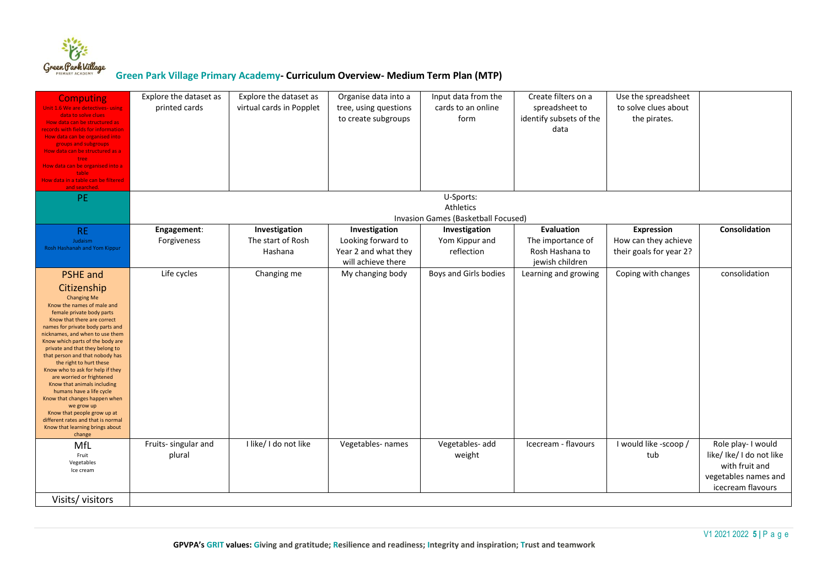

| <b>Computing</b><br>Unit 1.6 We are detectives- using<br>data to solve clues<br>How data can be structured as<br>ecords with fields for information<br>How data can be organised into<br>groups and subgroups<br>How data can be structured as a<br>tree<br>How data can be organised into a<br>table                                                                                                                                                                                                                                                                                                                                                   | Explore the dataset as<br>printed cards | Explore the dataset as<br>virtual cards in Popplet | Organise data into a<br>tree, using questions<br>to create subgroups              | Input data from the<br>cards to an online<br>form             | Create filters on a<br>spreadsheet to<br>identify subsets of the<br>data | Use the spreadsheet<br>to solve clues about<br>the pirates.          |                                                                                                               |
|---------------------------------------------------------------------------------------------------------------------------------------------------------------------------------------------------------------------------------------------------------------------------------------------------------------------------------------------------------------------------------------------------------------------------------------------------------------------------------------------------------------------------------------------------------------------------------------------------------------------------------------------------------|-----------------------------------------|----------------------------------------------------|-----------------------------------------------------------------------------------|---------------------------------------------------------------|--------------------------------------------------------------------------|----------------------------------------------------------------------|---------------------------------------------------------------------------------------------------------------|
| How data in a table can be filtered<br>and searched.                                                                                                                                                                                                                                                                                                                                                                                                                                                                                                                                                                                                    |                                         |                                                    |                                                                                   |                                                               |                                                                          |                                                                      |                                                                                                               |
| PE.                                                                                                                                                                                                                                                                                                                                                                                                                                                                                                                                                                                                                                                     |                                         |                                                    |                                                                                   | U-Sports:<br>Athletics<br>Invasion Games (Basketball Focused) |                                                                          |                                                                      |                                                                                                               |
| <b>RE</b><br>Judaism<br>Rosh Hashanah and Yom Kippur                                                                                                                                                                                                                                                                                                                                                                                                                                                                                                                                                                                                    | Engagement:<br>Forgiveness              | Investigation<br>The start of Rosh<br>Hashana      | Investigation<br>Looking forward to<br>Year 2 and what they<br>will achieve there | Investigation<br>Yom Kippur and<br>reflection                 | Evaluation<br>The importance of<br>Rosh Hashana to<br>jewish children    | <b>Expression</b><br>How can they achieve<br>their goals for year 2? | Consolidation                                                                                                 |
| <b>PSHE</b> and<br>Citizenship<br><b>Changing Me</b><br>Know the names of male and<br>female private body parts<br>Know that there are correct<br>names for private body parts and<br>nicknames, and when to use them<br>Know which parts of the body are<br>private and that they belong to<br>that person and that nobody has<br>the right to hurt these<br>Know who to ask for help if they<br>are worried or frightened<br>Know that animals including<br>humans have a life cycle<br>Know that changes happen when<br>we grow up<br>Know that people grow up at<br>different rates and that is normal<br>Know that learning brings about<br>change | Life cycles                             | Changing me                                        | My changing body                                                                  | Boys and Girls bodies                                         | Learning and growing                                                     | Coping with changes                                                  | consolidation                                                                                                 |
| MfL<br>Fruit<br>Vegetables<br>Ice cream                                                                                                                                                                                                                                                                                                                                                                                                                                                                                                                                                                                                                 | Fruits- singular and<br>plural          | I like/ I do not like                              | Vegetables- names                                                                 | Vegetables- add<br>weight                                     | Icecream - flavours                                                      | I would like -scoop /<br>tub                                         | Role play- I would<br>like/ Ike/ I do not like<br>with fruit and<br>vegetables names and<br>icecream flavours |
| Visits/visitors                                                                                                                                                                                                                                                                                                                                                                                                                                                                                                                                                                                                                                         |                                         |                                                    |                                                                                   |                                                               |                                                                          |                                                                      |                                                                                                               |